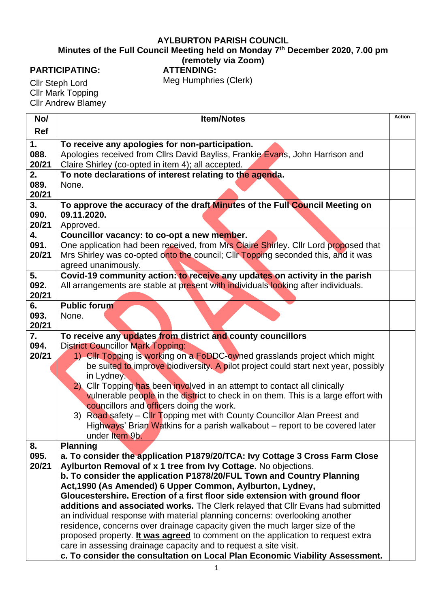## **AYLBURTON PARISH COUNCIL**

**Minutes of the Full Council Meeting held on Monday 7 th December 2020, 7.00 pm**

## **(remotely via Zoom)**

## **PARTICIPATING:**

**ATTENDING:** Meg Humphries (Clerk)

Cllr Steph Lord **Cllr Mark Topping** Cllr Andrew Blamey

| No/        | <b>Item/Notes</b>                                                                                                                                                | Action |
|------------|------------------------------------------------------------------------------------------------------------------------------------------------------------------|--------|
| <b>Ref</b> |                                                                                                                                                                  |        |
| 1.         | To receive any apologies for non-participation.                                                                                                                  |        |
| 088.       | Apologies received from Cllrs David Bayliss, Frankie Evans, John Harrison and                                                                                    |        |
| 20/21      | Claire Shirley (co-opted in item 4); all accepted.                                                                                                               |        |
| 2.<br>089. | To note declarations of interest relating to the agenda.<br>None.                                                                                                |        |
| 20/21      |                                                                                                                                                                  |        |
| 3.         | To approve the accuracy of the draft Minutes of the Full Council Meeting on                                                                                      |        |
| 090.       | 09.11.2020.                                                                                                                                                      |        |
| 20/21      | Approved.                                                                                                                                                        |        |
| 4.         | Councillor vacancy: to co-opt a new member.                                                                                                                      |        |
| 091.       | One application had been received, from Mrs Claire Shirley. Cllr Lord proposed that                                                                              |        |
| 20/21      | Mrs Shirley was co-opted onto the council; Cllr Topping seconded this, and it was                                                                                |        |
|            | agreed unanimously.                                                                                                                                              |        |
| 5.<br>092. | Covid-19 community action: to receive any updates on activity in the parish                                                                                      |        |
| 20/21      | All arrangements are stable at present with individuals looking after individuals.                                                                               |        |
| 6.         | <b>Public forum</b>                                                                                                                                              |        |
| 093.       | None.                                                                                                                                                            |        |
| 20/21      |                                                                                                                                                                  |        |
| 7.         | To receive any updates from district and county councillors                                                                                                      |        |
| 094.       | <b>District Councillor Mark Topping:</b>                                                                                                                         |        |
| 20/21      | 1) Cllr Topping is working on a FoDDC-owned grasslands project which might<br>be suited to improve biodiversity. A pilot project could start next year, possibly |        |
|            | in Lydney.                                                                                                                                                       |        |
|            | Cllr Topping has been involved in an attempt to contact all clinically<br>2)                                                                                     |        |
|            | vulnerable people in the district to check in on them. This is a large effort with                                                                               |        |
|            | councillors and officers doing the work.                                                                                                                         |        |
|            | 3) Road safety – Cllr Topping met with County Councillor Alan Preest and                                                                                         |        |
|            | Highways' Brian Watkins for a parish walkabout – report to be covered later                                                                                      |        |
|            | under Item 9b.                                                                                                                                                   |        |
| 8.<br>095. | <b>Planning</b><br>a. To consider the application P1879/20/TCA: Ivy Cottage 3 Cross Farm Close                                                                   |        |
| 20/21      | Aylburton Removal of x 1 tree from Ivy Cottage. No objections.                                                                                                   |        |
|            | b. To consider the application P1878/20/FUL Town and Country Planning                                                                                            |        |
|            | Act, 1990 (As Amended) 6 Upper Common, Aylburton, Lydney,                                                                                                        |        |
|            | Gloucestershire. Erection of a first floor side extension with ground floor                                                                                      |        |
|            | additions and associated works. The Clerk relayed that Cllr Evans had submitted                                                                                  |        |
|            | an individual response with material planning concerns: overlooking another                                                                                      |        |
|            | residence, concerns over drainage capacity given the much larger size of the                                                                                     |        |
|            | proposed property. It was agreed to comment on the application to request extra                                                                                  |        |
|            | care in assessing drainage capacity and to request a site visit.                                                                                                 |        |
|            | c. To consider the consultation on Local Plan Economic Viability Assessment.                                                                                     |        |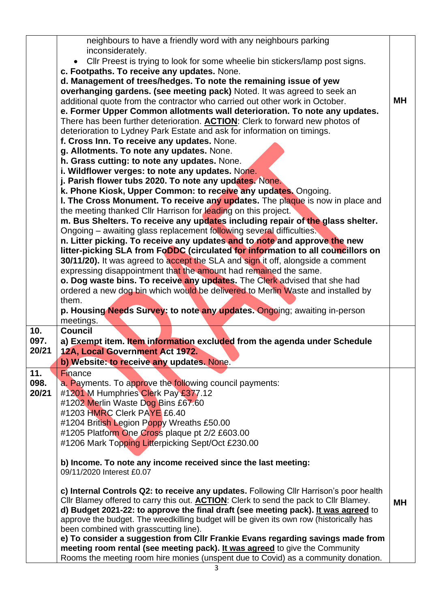|             | neighbours to have a friendly word with any neighbours parking                                                                                                    |           |
|-------------|-------------------------------------------------------------------------------------------------------------------------------------------------------------------|-----------|
|             | inconsiderately.                                                                                                                                                  |           |
|             | Cllr Preest is trying to look for some wheelie bin stickers/lamp post signs.                                                                                      |           |
|             | c. Footpaths. To receive any updates. None.                                                                                                                       |           |
|             | d. Management of trees/hedges. To note the remaining issue of yew                                                                                                 |           |
|             | overhanging gardens. (see meeting pack) Noted. It was agreed to seek an                                                                                           |           |
|             | additional quote from the contractor who carried out other work in October.                                                                                       | <b>MH</b> |
|             | e. Former Upper Common allotments wall deterioration. To note any updates.                                                                                        |           |
|             | There has been further deterioration. <b>ACTION</b> : Clerk to forward new photos of                                                                              |           |
|             | deterioration to Lydney Park Estate and ask for information on timings.                                                                                           |           |
|             | f. Cross Inn. To receive any updates. None.                                                                                                                       |           |
|             | g. Allotments. To note any updates. None.                                                                                                                         |           |
|             | h. Grass cutting: to note any updates. None.                                                                                                                      |           |
|             | i. Wildflower verges: to note any updates. None.                                                                                                                  |           |
|             | j. Parish flower tubs 2020. To note any updates. None.                                                                                                            |           |
|             | k. Phone Kiosk, Upper Common: to receive any updates. Ongoing.                                                                                                    |           |
|             | I. The Cross Monument. To receive any updates. The plaque is now in place and                                                                                     |           |
|             | the meeting thanked Cllr Harrison for leading on this project.                                                                                                    |           |
|             | m. Bus Shelters. To receive any updates including repair of the glass shelter.                                                                                    |           |
|             | Ongoing – awaiting glass replacement following several difficulties.                                                                                              |           |
|             | n. Litter picking. To receive any updates and to note and approve the new                                                                                         |           |
|             | litter-picking SLA from FoDDC (circulated for information to all councillors on                                                                                   |           |
|             | 30/11/20). It was agreed to accept the SLA and sign it off, alongside a comment                                                                                   |           |
|             | expressing disappointment that the amount had remained the same.                                                                                                  |           |
|             | o. Dog waste bins. To receive any updates. The Clerk advised that she had                                                                                         |           |
|             | ordered a new dog bin which would be delivered to Merlin Waste and installed by                                                                                   |           |
|             | them.                                                                                                                                                             |           |
|             | p. Housing Needs Survey: to note any updates. Ongoing; awaiting in-person                                                                                         |           |
| 10.         | meetings.<br><b>Council</b>                                                                                                                                       |           |
| 097.        | a) Exempt item. Item information excluded from the agenda under Schedule                                                                                          |           |
| 20/21       | 12A, Local Government Act 1972.                                                                                                                                   |           |
|             |                                                                                                                                                                   |           |
|             | b) Website: to receive any updates. None.                                                                                                                         |           |
| 11.<br>098. | <b>Finance</b>                                                                                                                                                    |           |
| 20/21       | a. Payments. To approve the following council payments:                                                                                                           |           |
|             | #1201 M Humphries Clerk Pay £377.12<br>#1202 Merlin Waste Dog Bins £67.60                                                                                         |           |
|             | #1203 HMRC Clerk PAYE £6.40                                                                                                                                       |           |
|             | #1204 British Legion Poppy Wreaths £50.00                                                                                                                         |           |
|             | #1205 Platform One Cross plaque pt 2/2 £603.00                                                                                                                    |           |
|             | #1206 Mark Topping Litterpicking Sept/Oct £230.00                                                                                                                 |           |
|             |                                                                                                                                                                   |           |
|             | b) Income. To note any income received since the last meeting:                                                                                                    |           |
|             | 09/11/2020 Interest £0.07                                                                                                                                         |           |
|             |                                                                                                                                                                   |           |
|             | c) Internal Controls Q2: to receive any updates. Following Cllr Harrison's poor health                                                                            |           |
|             | Cllr Blamey offered to carry this out. <b>ACTION</b> : Clerk to send the pack to Cllr Blamey.                                                                     | <b>MH</b> |
|             | d) Budget 2021-22: to approve the final draft (see meeting pack). It was agreed to                                                                                |           |
|             | approve the budget. The weedkilling budget will be given its own row (historically has                                                                            |           |
|             | been combined with grasscutting line).                                                                                                                            |           |
|             | e) To consider a suggestion from CIIr Frankie Evans regarding savings made from                                                                                   |           |
|             |                                                                                                                                                                   |           |
|             | meeting room rental (see meeting pack). It was agreed to give the Community<br>Rooms the meeting room hire monies (unspent due to Covid) as a community donation. |           |